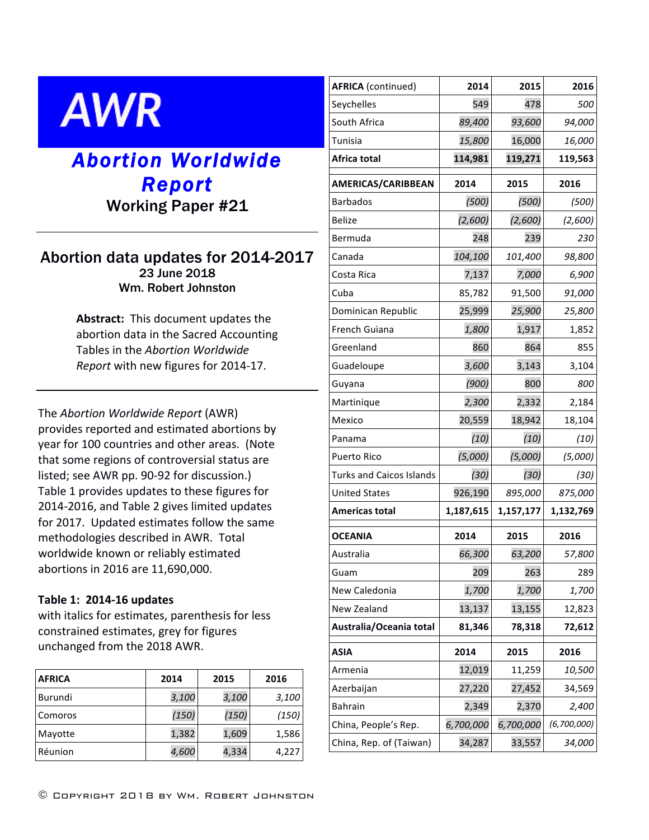# **AWR**

## *Abortion Worldwide Report*

### Working Paper #21

#### Abortion data updates for 2014-2017 23 June 2018 Wm. Robert Johnston

**Abstract:** This document updates the abortion data in the Sacred Accounting Tables in the *Abortion Worldwide Report* with new figures for 2014-17.

The *Abortion Worldwide Report* (AWR) provides reported and estimated abortions by year for 100 countries and other areas. (Note that some regions of controversial status are listed; see AWR pp. 90-92 for discussion.) Table 1 provides updates to these figures for 2014-2016, and Table 2 gives limited updates for 2017. Updated estimates follow the same methodologies described in AWR. Total worldwide known or reliably estimated abortions in 2016 are 11,690,000.

#### **Table 1: 2014-16 updates**

with italics for estimates, parenthesis for less constrained estimates, grey for figures unchanged from the 2018 AWR.

| <b>AFRICA</b> | 2014  | 2015  | 2016  |
|---------------|-------|-------|-------|
| Burundi       | 3,100 | 3,100 | 3,100 |
| Comoros       | (150) | (150) | (150) |
| Mayotte       | 1,382 | 1,609 | 1,586 |
| Réunion       | 4,600 | 4,334 | 4,227 |

| <b>AFRICA</b> (continued)       | 2014      | 2015      | 2016        |
|---------------------------------|-----------|-----------|-------------|
| Seychelles                      | 549       | 478       | <i>500</i>  |
| South Africa                    | 89,400    | 93,600    | 94,000      |
| <b>Tunisia</b>                  | 15,800    | 16,000    | 16,000      |
| Africa total                    | 114,981   | 119,271   | 119,563     |
| AMERICAS/CARIBBEAN              | 2014      | 2015      | 2016        |
| <b>Barbados</b>                 | (500)     | (500)     | (500)       |
| <b>Belize</b>                   | (2,600)   | (2,600)   | (2,600)     |
| Bermuda                         | 248       | 239       | 230         |
| Canada                          | 104,100   | 101,400   | 98,800      |
| Costa Rica                      | 7,137     | 7,000     | 6,900       |
| Cuba                            | 85,782    | 91,500    | 91,000      |
| Dominican Republic              | 25,999    | 25,900    | 25,800      |
| French Guiana                   | 1,800     | 1,917     | 1,852       |
| Greenland                       | 860       | 864       | 855         |
| Guadeloupe                      | 3,600     | 3,143     | 3,104       |
| Guyana                          | (900)     | 800       | 800         |
| Martinique                      | 2,300     | 2,332     | 2,184       |
| Mexico                          | 20,559    | 18,942    | 18,104      |
| Panama                          | (10)      | (10)      | (10)        |
| Puerto Rico                     | (5,000)   | (5,000)   | (5,000)     |
| <b>Turks and Caicos Islands</b> | (30)      | (30)      | (30)        |
| <b>United States</b>            | 926,190   | 895,000   | 875,000     |
| <b>Americas total</b>           | 1,187,615 | 1,157,177 | 1,132,769   |
| <b>OCEANIA</b>                  | 2014      | 2015      | 2016        |
| Australia                       | 66,300    | 63,200    | 57,800      |
| Guam                            | 209       | 263       | 289         |
| New Caledonia                   | 1,700     | 1,700     | 1,700       |
| New Zealand                     | 13,137    | 13,155    | 12,823      |
| Australia/Oceania total         | 81,346    | 78,318    | 72,612      |
| <b>ASIA</b>                     | 2014      | 2015      | 2016        |
| Armenia                         | 12,019    | 11,259    | 10,500      |
| Azerbaijan                      | 27,220    | 27,452    | 34,569      |
| <b>Bahrain</b>                  | 2,349     | 2,370     | 2,400       |
| China, People's Rep.            | 6,700,000 | 6,700,000 | (6,700,000) |
| China, Rep. of (Taiwan)         | 34,287    | 33,557    | 34,000      |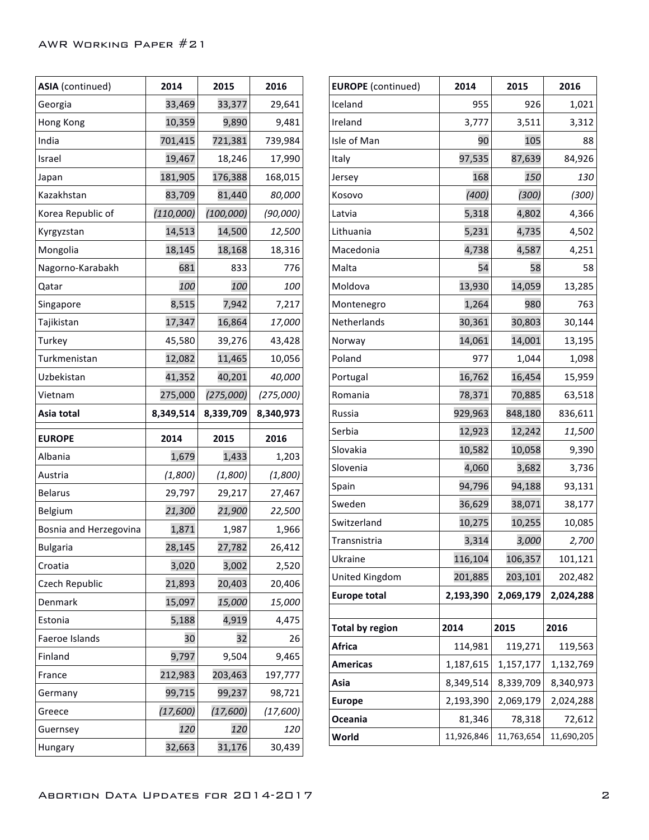| ASIA (continued)       | 2014      | 2015       | 2016      |
|------------------------|-----------|------------|-----------|
| Georgia                | 33,469    | 33,377     | 29,641    |
| Hong Kong              | 10,359    | 9,890      | 9,481     |
| India                  | 701,415   | 721,381    | 739,984   |
| Israel                 | 19,467    | 18,246     | 17,990    |
| Japan                  | 181,905   | 176,388    | 168,015   |
| Kazakhstan             | 83,709    | 81,440     | 80,000    |
| Korea Republic of      | (110,000) | (100, 000) | (90,000)  |
| Kyrgyzstan             | 14,513    | 14,500     | 12,500    |
| Mongolia               | 18,145    | 18,168     | 18,316    |
| Nagorno-Karabakh       | 681       | 833        | 776       |
| Qatar                  | 100       | 100        | 100       |
| Singapore              | 8,515     | 7,942      | 7,217     |
| Tajikistan             | 17,347    | 16,864     | 17,000    |
| Turkey                 | 45,580    | 39,276     | 43,428    |
| Turkmenistan           | 12,082    | 11,465     | 10,056    |
| Uzbekistan             | 41,352    | 40,201     | 40,000    |
| Vietnam                | 275,000   | (275,000)  | (275,000) |
| Asia total             | 8,349,514 | 8,339,709  | 8,340,973 |
|                        |           |            |           |
| <b>EUROPE</b>          | 2014      | 2015       | 2016      |
| Albania                | 1,679     | 1,433      | 1,203     |
| Austria                | (1,800)   | (1,800)    | (1,800)   |
| <b>Belarus</b>         | 29,797    | 29,217     | 27,467    |
| Belgium                | 21,300    | 21,900     | 22,500    |
| Bosnia and Herzegovina | 1,871     | 1,987      | 1,966     |
| <b>Bulgaria</b>        | 28,145    | 27,782     | 26,412    |
| Croatia                | 3,020     | 3,002      | 2,520     |
| Czech Republic         | 21,893    | 20,403     | 20,406    |
| Denmark                | 15,097    | 15,000     | 15,000    |
| Estonia                | 5,188     | 4,919      | 4,475     |
| Faeroe Islands         | 30        | 32         | 26        |
| Finland                | 9,797     | 9,504      | 9,465     |
| France                 | 212,983   | 203,463    | 197,777   |
| Germany                | 99,715    | 99,237     | 98,721    |
| Greece                 | (17,600)  | (17,600)   | (17,600)  |
| Guernsey               | 120       | 120        | 120       |

| <b>EUROPE</b> (continued) | 2014       | 2015       | 2016       |
|---------------------------|------------|------------|------------|
| Iceland                   | 955        | 926        | 1,021      |
| Ireland                   | 3,777      | 3,511      | 3,312      |
| Isle of Man               | 90         | 105        | 88         |
| Italy                     | 97,535     | 87,639     | 84,926     |
| Jersey                    | 168        | 150        | <i>130</i> |
| Kosovo                    | (400)      | (300)      | (300)      |
| Latvia                    | 5,318      | 4,802      | 4,366      |
| Lithuania                 | 5,231      | 4,735      | 4,502      |
| Macedonia                 | 4,738      | 4,587      | 4,251      |
| Malta                     | 54         | 58         | 58         |
| Moldova                   | 13,930     | 14,059     | 13,285     |
| Montenegro                | 1,264      | 980        | 763        |
| Netherlands               | 30,361     | 30,803     | 30,144     |
| Norway                    | 14,061     | 14,001     | 13,195     |
| Poland                    | 977        | 1,044      | 1,098      |
| Portugal                  | 16,762     | 16,454     | 15,959     |
| Romania                   | 78,371     | 70,885     | 63,518     |
| Russia                    | 929,963    | 848,180    | 836,611    |
| Serbia                    | 12,923     | 12,242     | 11,500     |
| Slovakia                  | 10,582     | 10,058     | 9,390      |
| Slovenia                  | 4,060      | 3,682      | 3,736      |
| Spain                     | 94,796     | 94,188     | 93,131     |
| Sweden                    | 36,629     | 38,071     | 38,177     |
| Switzerland               | 10,275     | 10,255     | 10,085     |
| Transnistria              | 3,314      | 3,000      | 2,700      |
| Ukraine                   | 116,104    | 106,357    | 101,121    |
| United Kingdom            | 201,885    | 203,101    | 202,482    |
| <b>Europe total</b>       | 2,193,390  | 2,069,179  | 2,024,288  |
|                           |            |            |            |
| <b>Total by region</b>    | 2014       | 2015       | 2016       |
| <b>Africa</b>             | 114,981    | 119,271    | 119,563    |
| <b>Americas</b>           | 1,187,615  | 1,157,177  | 1,132,769  |
| Asia                      | 8,349,514  | 8,339,709  | 8,340,973  |
| <b>Europe</b>             | 2,193,390  | 2,069,179  | 2,024,288  |
| Oceania                   | 81,346     | 78,318     | 72,612     |
| World                     | 11,926,846 | 11,763,654 | 11,690,205 |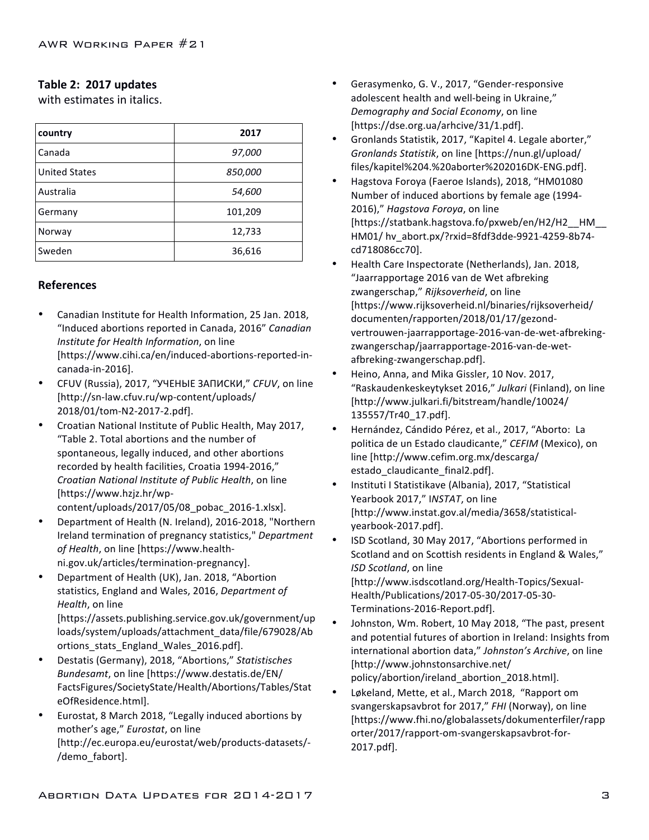#### Table 2: 2017 updates

with estimates in italics.

| country              | 2017    |
|----------------------|---------|
| Canada               | 97,000  |
| <b>United States</b> | 850,000 |
| Australia            | 54,600  |
| Germany              | 101,209 |
| Norway               | 12,733  |
| Sweden               | 36,616  |

#### **References**

- Canadian Institute for Health Information, 25 Jan. 2018, "Induced abortions reported in Canada, 2016" *Canadian Institute for Health Information*, on line [https://www.cihi.ca/en/induced-abortions-reported-incanada-in-2016].
- CFUV (Russia), 2017, "УЧЕНЫЕ ЗАПИСКИ," *CFUV*, on line [http://sn-law.cfuv.ru/wp-content/uploads/ 2018/01/tom-N2-2017-2.pdf].
- Croatian National Institute of Public Health, May 2017, "Table 2. Total abortions and the number of spontaneous, legally induced, and other abortions recorded by health facilities, Croatia 1994-2016," *Croatian National Institute of Public Health*, on line [https://www.hzjz.hr/wp-
- content/uploads/2017/05/08\_pobac\_2016-1.xlsx]. Department of Health (N. Ireland), 2016-2018, "Northern Ireland termination of pregnancy statistics," Department of Health, on line [https://www.healthni.gov.uk/articles/termination-pregnancy].
- Department of Health (UK), Jan. 2018, "Abortion statistics, England and Wales, 2016, *Department of Health*, on line [https://assets.publishing.service.gov.uk/government/up

loads/system/uploads/attachment\_data/file/679028/Ab ortions\_stats\_England\_Wales\_2016.pdf].

- Destatis (Germany), 2018, "Abortions," Statistisches *Bundesamt*, on line [https://www.destatis.de/EN/ FactsFigures/SocietyState/Health/Abortions/Tables/Stat eOfResidence.html].
- Eurostat, 8 March 2018, "Legally induced abortions by mother's age," *Eurostat*, on line [http://ec.europa.eu/eurostat/web/products-datasets/- /demo\_fabort].
- Gerasymenko, G. V., 2017, "Gender-responsive adolescent health and well-being in Ukraine," *Demography and Social Economy*, on line [https://dse.org.ua/arhcive/31/1.pdf].
- Gronlands Statistik, 2017, "Kapitel 4. Legale aborter," *Gronlands Statistik, on line [https://nun.gl/upload/* files/kapitel%204.%20aborter%202016DK-ENG.pdf].
- Hagstova Foroya (Faeroe Islands), 2018, "HM01080 Number of induced abortions by female age (1994-2016)," Hagstova Foroya, on line [https://statbank.hagstova.fo/pxweb/en/H2/H2\_\_HM\_\_ HM01/ hv abort.px/?rxid=8fdf3dde-9921-4259-8b74cd718086cc70].
- Health Care Inspectorate (Netherlands), Jan. 2018, "Jaarrapportage 2016 van de Wet afbreking zwangerschap," Rijksoverheid, on line [https://www.rijksoverheid.nl/binaries/rijksoverheid/ documenten/rapporten/2018/01/17/gezondvertrouwen-jaarrapportage-2016-van-de-wet-afbrekingzwangerschap/jaarrapportage-2016-van-de-wetafbreking-zwangerschap.pdf].
- Heino, Anna, and Mika Gissler, 10 Nov. 2017, "Raskaudenkeskeytykset 2016," *Julkari* (Finland), on line [http://www.julkari.fi/bitstream/handle/10024/ 135557/Tr40\_17.pdf].
- Hernández, Cándido Pérez, et al., 2017, "Aborto: La politica de un Estado claudicante," CEFIM (Mexico), on line [http://www.cefim.org.mx/descarga/ estado\_claudicante\_final2.pdf].
- Instituti I Statistikave (Albania), 2017, "Statistical Yearbook 2017," INSTAT, on line [http://www.instat.gov.al/media/3658/statisticalyearbook-2017.pdf].
- ISD Scotland, 30 May 2017, "Abortions performed in Scotland and on Scottish residents in England & Wales," *ISD Scotland*, on line [http://www.isdscotland.org/Health-Topics/Sexual-Health/Publications/2017-05-30/2017-05-30- Terminations-2016-Report.pdf].
- Johnston, Wm. Robert, 10 May 2018, "The past, present and potential futures of abortion in Ireland: Insights from international abortion data," Johnston's Archive, on line [http://www.johnstonsarchive.net/ policy/abortion/ireland\_abortion\_2018.html].
- Løkeland, Mette, et al., March 2018, "Rapport om svangerskapsavbrot for 2017," FHI (Norway), on line [https://www.fhi.no/globalassets/dokumenterfiler/rapp orter/2017/rapport-om-svangerskapsavbrot-for-2017.pdf].